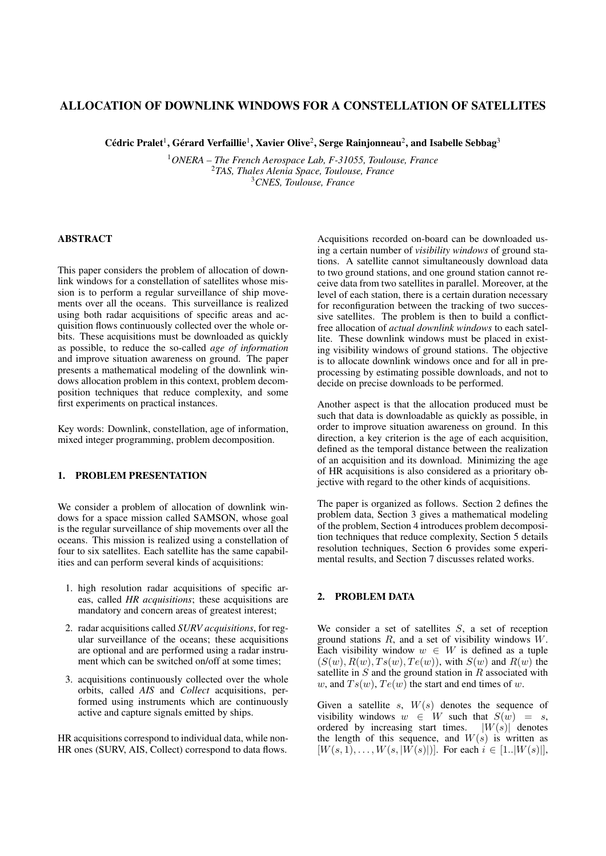# ALLOCATION OF DOWNLINK WINDOWS FOR A CONSTELLATION OF SATELLITES

Cédric Pralet<sup>1</sup>, Gérard Verfaillie<sup>1</sup>, Xavier Olive<sup>2</sup>, Serge Rainjonneau<sup>2</sup>, and Isabelle Sebbag<sup>3</sup>

<sup>1</sup>*ONERA – The French Aerospace Lab, F-31055, Toulouse, France* <sup>2</sup>*TAS, Thales Alenia Space, Toulouse, France* <sup>3</sup>*CNES, Toulouse, France*

#### ABSTRACT

This paper considers the problem of allocation of downlink windows for a constellation of satellites whose mission is to perform a regular surveillance of ship movements over all the oceans. This surveillance is realized using both radar acquisitions of specific areas and acquisition flows continuously collected over the whole orbits. These acquisitions must be downloaded as quickly as possible, to reduce the so-called *age of information* and improve situation awareness on ground. The paper presents a mathematical modeling of the downlink windows allocation problem in this context, problem decomposition techniques that reduce complexity, and some first experiments on practical instances.

Key words: Downlink, constellation, age of information, mixed integer programming, problem decomposition.

## 1. PROBLEM PRESENTATION

We consider a problem of allocation of downlink windows for a space mission called SAMSON, whose goal is the regular surveillance of ship movements over all the oceans. This mission is realized using a constellation of four to six satellites. Each satellite has the same capabilities and can perform several kinds of acquisitions:

- 1. high resolution radar acquisitions of specific areas, called *HR acquisitions*; these acquisitions are mandatory and concern areas of greatest interest;
- 2. radar acquisitions called *SURV acquisitions*, for regular surveillance of the oceans; these acquisitions are optional and are performed using a radar instrument which can be switched on/off at some times;
- 3. acquisitions continuously collected over the whole orbits, called *AIS* and *Collect* acquisitions, performed using instruments which are continuously active and capture signals emitted by ships.

HR acquisitions correspond to individual data, while non-HR ones (SURV, AIS, Collect) correspond to data flows.

Acquisitions recorded on-board can be downloaded using a certain number of *visibility windows* of ground stations. A satellite cannot simultaneously download data to two ground stations, and one ground station cannot receive data from two satellites in parallel. Moreover, at the level of each station, there is a certain duration necessary for reconfiguration between the tracking of two successive satellites. The problem is then to build a conflictfree allocation of *actual downlink windows* to each satellite. These downlink windows must be placed in existing visibility windows of ground stations. The objective is to allocate downlink windows once and for all in preprocessing by estimating possible downloads, and not to decide on precise downloads to be performed.

Another aspect is that the allocation produced must be such that data is downloadable as quickly as possible, in order to improve situation awareness on ground. In this direction, a key criterion is the age of each acquisition, defined as the temporal distance between the realization of an acquisition and its download. Minimizing the age of HR acquisitions is also considered as a prioritary objective with regard to the other kinds of acquisitions.

The paper is organized as follows. Section 2 defines the problem data, Section 3 gives a mathematical modeling of the problem, Section 4 introduces problem decomposition techniques that reduce complexity, Section 5 details resolution techniques, Section 6 provides some experimental results, and Section 7 discusses related works.

## 2. PROBLEM DATA

We consider a set of satellites  $S$ , a set of reception ground stations  $R$ , and a set of visibility windows  $W$ . Each visibility window  $w \in W$  is defined as a tuple  $(S(w), R(w), Ts(w), Te(w))$ , with  $S(w)$  and  $R(w)$  the satellite in  $S$  and the ground station in  $R$  associated with w, and  $Ts(w)$ ,  $Te(w)$  the start and end times of w.

Given a satellite  $s$ ,  $W(s)$  denotes the sequence of visibility windows  $w \in W$  such that  $S(w) = s$ , ordered by increasing start times.  $|W(s)|$  denotes the length of this sequence, and  $W(s)$  is written as  $[W(s, 1), \ldots, W(s, |W(s)|)]$ . For each  $i \in [1..|W(s)|]$ ,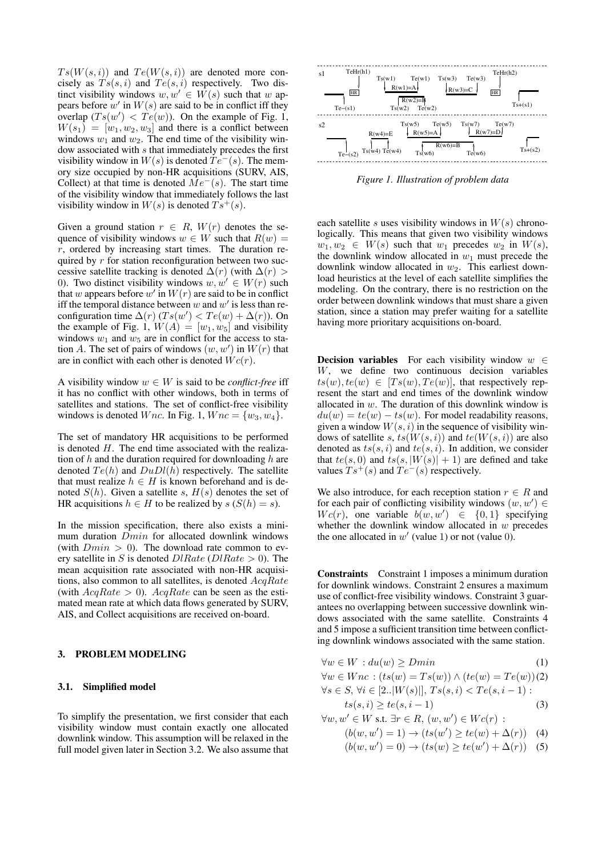$Ts(W(s, i))$  and  $Te(W(s, i))$  are denoted more concisely as  $T_s(s, i)$  and  $Te(s, i)$  respectively. Two distinct visibility windows  $w, w' \in W(s)$  such that w appears before  $w'$  in  $W(s)$  are said to be in conflict iff they overlap  $(Ts(w') < T e(w))$ . On the example of Fig. 1,  $W(s_1) = [w_1, w_2, w_3]$  and there is a conflict between windows  $w_1$  and  $w_2$ . The end time of the visibility window associated with s that immediately precedes the first visibility window in  $W(s)$  is denoted  $Te^-(s)$ . The memory size occupied by non-HR acquisitions (SURV, AIS, Collect) at that time is denoted  $\overline{Me}^-(s)$ . The start time of the visibility window that immediately follows the last visibility window in  $W(s)$  is denoted  $Ts^+(s)$ .

Given a ground station  $r \in R$ ,  $W(r)$  denotes the sequence of visibility windows  $w \in W$  such that  $R(w) =$  $r$ , ordered by increasing start times. The duration required by  $r$  for station reconfiguration between two successive satellite tracking is denoted  $\Delta(r)$  (with  $\Delta(r)$ ) 0). Two distinct visibility windows  $w, w' \in W(r)$  such that w appears before w' in  $W(r)$  are said to be in conflict iff the temporal distance between  $w$  and  $w'$  is less than reconfiguration time  $\Delta(r)$  ( $Ts(w') < Te(w) + \Delta(r)$ ). On the example of Fig. 1,  $W(A) = [w_1, w_5]$  and visibility windows  $w_1$  and  $w_5$  are in conflict for the access to station A. The set of pairs of windows  $(w, w')$  in  $W(r)$  that are in conflict with each other is denoted  $Wc(r)$ .

A visibility window  $w \in W$  is said to be *conflict-free* iff it has no conflict with other windows, both in terms of satellites and stations. The set of conflict-free visibility windows is denoted Wnc. In Fig. 1,  $Wnc = \{w_3, w_4\}.$ 

The set of mandatory HR acquisitions to be performed is denoted  $H$ . The end time associated with the realization of h and the duration required for downloading h are denoted  $Te(h)$  and  $DuDl(h)$  respectively. The satellite that must realize  $h \in H$  is known beforehand and is denoted  $S(h)$ . Given a satellite s,  $H(s)$  denotes the set of HR acquisitions  $h \in H$  to be realized by  $s(S(h) = s)$ .

In the mission specification, there also exists a minimum duration Dmin for allocated downlink windows (with  $Dmin > 0$ ). The download rate common to every satellite in S is denoted  $DIRate$  ( $DIRate > 0$ ). The mean acquisition rate associated with non-HR acquisitions, also common to all satellites, is denoted AcqRate (with  $AcqRate > 0$ ).  $AcqRate$  can be seen as the estimated mean rate at which data flows generated by SURV, AIS, and Collect acquisitions are received on-board.

#### 3. PROBLEM MODELING

#### 3.1. Simplified model

To simplify the presentation, we first consider that each visibility window must contain exactly one allocated downlink window. This assumption will be relaxed in the full model given later in Section 3.2. We also assume that



*Figure 1. Illustration of problem data*

each satellite s uses visibility windows in  $W(s)$  chronologically. This means that given two visibility windows  $w_1, w_2 \in W(s)$  such that  $w_1$  precedes  $w_2$  in  $W(s)$ , the downlink window allocated in  $w_1$  must precede the downlink window allocated in  $w_2$ . This earliest download heuristics at the level of each satellite simplifies the modeling. On the contrary, there is no restriction on the order between downlink windows that must share a given station, since a station may prefer waiting for a satellite having more prioritary acquisitions on-board.

**Decision variables** For each visibility window  $w \in$ W, we define two continuous decision variables  $ts(w), te(w) \in [Ts(w), Te(w)]$ , that respectively represent the start and end times of the downlink window allocated in w. The duration of this downlink window is  $du(w) = te(w) - ts(w)$ . For model readability reasons, given a window  $W(s, i)$  in the sequence of visibility windows of satellite s,  $ts(W(s, i))$  and  $te(W(s, i))$  are also denoted as  $ts(s, i)$  and  $te(s, i)$ . In addition, we consider that  $te(s, 0)$  and  $ts(s, |W(s)| + 1)$  are defined and take values  $Ts^{+}(s)$  and  $Te^{-}(s)$  respectively.

We also introduce, for each reception station  $r \in R$  and for each pair of conflicting visibility windows  $(w, w') \in$  $Wc(r)$ , one variable  $b(w, w') \in \{0, 1\}$  specifying whether the downlink window allocated in  $w$  precedes the one allocated in  $w'$  (value 1) or not (value 0).

Constraints Constraint 1 imposes a minimum duration for downlink windows. Constraint 2 ensures a maximum use of conflict-free visibility windows. Constraint 3 guarantees no overlapping between successive downlink windows associated with the same satellite. Constraints 4 and 5 impose a sufficient transition time between conflicting downlink windows associated with the same station.

$$
\forall w \in W : du(w) \ge Dmin \tag{1}
$$

 $\forall w \in W$ nc:  $(ts(w) = Ts(w)) \wedge (te(w) = Te(w))$ (2)  $\forall s \in S, \forall i \in [2..|W(s)|], \, Ts(s, i) < Te(s, i-1)$ :

$$
ts(s, i) \ge te(s, i - 1)
$$
\n<sup>(3)</sup>

 $\forall w, w' \in W$  s.t.  $\exists r \in R, (w, w') \in Wc(r)$ :  $(b(w, w') = 1) \rightarrow (ts(w') \ge te(w) + \Delta(r))$  (4)

$$
(b(w, w') = 0) \to (ts(w) \ge te(w') + \Delta(r))
$$
 (5)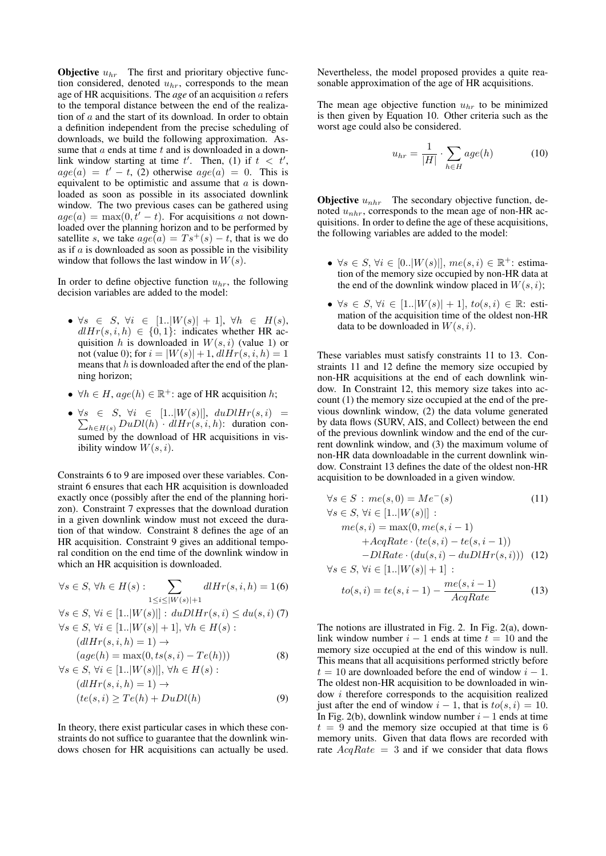**Objective**  $u_{hr}$  The first and prioritary objective function considered, denoted  $u_{hr}$ , corresponds to the mean age of HR acquisitions. The *age* of an acquisition a refers to the temporal distance between the end of the realization of  $a$  and the start of its download. In order to obtain a definition independent from the precise scheduling of downloads, we build the following approximation. Assume that  $a$  ends at time  $t$  and is downloaded in a downlink window starting at time  $t'$ . Then, (1) if  $t < t'$ ,  $age(a) = t' - t$ , (2) otherwise  $age(a) = 0$ . This is equivalent to be optimistic and assume that a is downloaded as soon as possible in its associated downlink window. The two previous cases can be gathered using  $age(a) = \max(0, t'-t)$ . For acquisitions a not downloaded over the planning horizon and to be performed by satellite s, we take  $age(a) = Ts^+(s) - t$ , that is we do as if  $a$  is downloaded as soon as possible in the visibility window that follows the last window in  $W(s)$ .

In order to define objective function  $u_{hr}$ , the following decision variables are added to the model:

- $\forall s \in S, \forall i \in [1..|W(s)|+1], \forall h \in H(s),$  $dI H r(s, i, h) \in \{0, 1\}$ : indicates whether HR acquisition h is downloaded in  $W(s, i)$  (value 1) or not (value 0); for  $i = |W(s)| + 1$ ,  $dH(r(s, i, h) = 1$ means that  $h$  is downloaded after the end of the planning horizon;
- $\forall h \in H$ ,  $age(h) \in \mathbb{R}^+$ : age of HR acquisition h;
- $\forall s \in S, \forall i \in [1..|W(s)|], \; duDlHr(s,i) =$  $\sum_{h \in H(s)} D u D l(h) \cdot dl H r(s, i, h)$ : duration consumed by the download of HR acquisitions in visibility window  $W(s, i)$ .

Constraints 6 to 9 are imposed over these variables. Constraint 6 ensures that each HR acquisition is downloaded exactly once (possibly after the end of the planning horizon). Constraint 7 expresses that the download duration in a given downlink window must not exceed the duration of that window. Constraint 8 defines the age of an HR acquisition. Constraint 9 gives an additional temporal condition on the end time of the downlink window in which an HR acquisition is downloaded.

$$
\forall s \in S, \forall h \in H(s) : \sum_{1 \le i \le |W(s)|+1} d l H r(s, i, h) = 1(6)
$$
  

$$
\forall s \in S, \forall i \in [1..|W(s)|] : du D l H r(s, i) \le du(s, i) (7)
$$
  

$$
\forall s \in S, \forall i \in [1..|W(s)|+1], \forall h \in H(s) : (d l H r(s, i, h) = 1) \rightarrow (age(h) = max(0, ts(s, i) - Te(h)))
$$
  

$$
\forall s \in S \forall i \in [1, |W(s)|] \forall h \in H(s).
$$
  
(8)

$$
\forall s \in S, \forall i \in [1..|W(s)|], \forall n \in H(s):
$$

$$
(dlHr(s,i,h) = 1) \rightarrow (te(s,i) \ge Te(h) + DuDl(h)
$$
(9)

In theory, there exist particular cases in which these constraints do not suffice to guarantee that the downlink windows chosen for HR acquisitions can actually be used. Nevertheless, the model proposed provides a quite reasonable approximation of the age of HR acquisitions.

The mean age objective function  $u_{hr}$  to be minimized is then given by Equation 10. Other criteria such as the worst age could also be considered.

$$
u_{hr} = \frac{1}{|H|} \cdot \sum_{h \in H} age(h) \tag{10}
$$

**Objective**  $u_{nhr}$  The secondary objective function, denoted  $u_{nhr}$ , corresponds to the mean age of non-HR acquisitions. In order to define the age of these acquisitions, the following variables are added to the model:

- $\forall s \in S, \forall i \in [0..|W(s)|], \, me(s, i) \in \mathbb{R}^+$ : estimation of the memory size occupied by non-HR data at the end of the downlink window placed in  $W(s, i)$ ;
- $\forall s \in S, \forall i \in [1..|W(s)|+1], \text{ to } (s,i) \in \mathbb{R}$ : estimation of the acquisition time of the oldest non-HR data to be downloaded in  $W(s, i)$ .

These variables must satisfy constraints 11 to 13. Constraints 11 and 12 define the memory size occupied by non-HR acquisitions at the end of each downlink window. In Constraint 12, this memory size takes into account (1) the memory size occupied at the end of the previous downlink window, (2) the data volume generated by data flows (SURV, AIS, and Collect) between the end of the previous downlink window and the end of the current downlink window, and (3) the maximum volume of non-HR data downloadable in the current downlink window. Constraint 13 defines the date of the oldest non-HR acquisition to be downloaded in a given window.

$$
\forall s \in S : me(s, 0) = Me^{-}(s)
$$
(11)  
\n
$$
\forall s \in S, \forall i \in [1..|W(s)|] :\nme(s, i) = max(0, me(s, i - 1)\n+ AcqRate \cdot (te(s, i) - te(s, i - 1))\n- DIRate \cdot (du(s, i) - duDHF(s, i))) (12)\n
$$
\forall s \in S, \forall i \in [1..|W(s)| + 1] :\nme(s, i - 1)
$$
$$

$$
to(s,i) = te(s,i-1) - \frac{me(s,i-1)}{AcqRate}
$$
\n<sup>(13)</sup>

The notions are illustrated in Fig. 2. In Fig. 2(a), downlink window number  $i - 1$  ends at time  $t = 10$  and the memory size occupied at the end of this window is null. This means that all acquisitions performed strictly before  $t = 10$  are downloaded before the end of window  $i - 1$ . The oldest non-HR acquisition to be downloaded in window i therefore corresponds to the acquisition realized just after the end of window  $i - 1$ , that is  $to(s, i) = 10$ . In Fig. 2(b), downlink window number  $i - 1$  ends at time  $t = 9$  and the memory size occupied at that time is 6 memory units. Given that data flows are recorded with rate  $AcqRate = 3$  and if we consider that data flows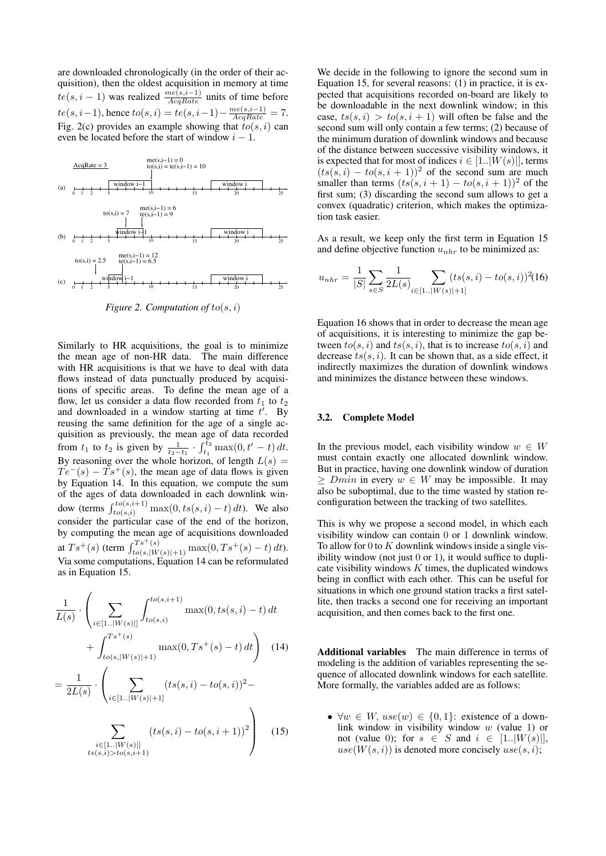are downloaded chronologically (in the order of their acquisition), then the oldest acquisition in memory at time  $te(s, i - 1)$  was realized  $\frac{me(s, i-1)}{AcqRate}$  units of time before  $te(s, i-1)$ , hence  $to(s, i) = te(s, i-1) - \frac{me(s, i-1)}{AcqRate} = 7.$ Fig. 2(c) provides an example showing that  $to(s, i)$  can even be located before the start of window  $i - 1$ .



*Figure 2. Computation of* to(s, i)

Similarly to HR acquisitions, the goal is to minimize the mean age of non-HR data. The main difference with HR acquisitions is that we have to deal with data flows instead of data punctually produced by acquisitions of specific areas. To define the mean age of a flow, let us consider a data flow recorded from  $t_1$  to  $t_2$ and downloaded in a window starting at time  $t'$ . By reusing the same definition for the age of a single acquisition as previously, the mean age of data recorded from  $t_1$  to  $t_2$  is given by  $\frac{1}{t_2-t_1} \cdot \int_{t_1}^{t_2} \max(0, t'-t) dt$ . By reasoning over the whole horizon, of length  $L(s)$  =  $Te^-(s) - Ts^+(s)$ , the mean age of data flows is given by Equation 14. In this equation, we compute the sum of the ages of data downloaded in each downlink window (terms  $\int_{to(s,i)}^{to(s,i+1)} \max(0, ts(s,i) - t) dt$ ). We also consider the particular case of the end of the horizon, by computing the mean age of acquisitions downloaded at  $Ts^+(s)$  (term  $\int_{to(s,|W(s)|+1)}^{Ts^+(s)} \max(0,Ts^+(s)-t) dt$ ). Via some computations, Equation 14 can be reformulated as in Equation 15.

$$
\frac{1}{L(s)} \cdot \left( \sum_{i \in [1..|W(s)|]} \int_{to(s,i)}^{to(s,i+1)} \max(0, ts(s,i) - t) dt + \int_{to(s,|W(s)|+1)}^{Ts^+(s)} \max(0, Ts^+(s) - t) dt \right)
$$
(14)

$$
= \frac{1}{2L(s)} \cdot \left( \sum_{i \in [1..|W(s)|+1]} (ts(s,i) - to(s,i))^2 - \sum_{i \in [1..|W(s)|]} (ts(s,i) - to(s,i+1))^2 \right)
$$
(15)

We decide in the following to ignore the second sum in Equation 15, for several reasons: (1) in practice, it is expected that acquisitions recorded on-board are likely to be downloadable in the next downlink window; in this case,  $ts(s, i) > to(s, i + 1)$  will often be false and the second sum will only contain a few terms; (2) because of the minimum duration of downlink windows and because of the distance between successive visibility windows, it is expected that for most of indices  $i \in [1..|W(s)|]$ , terms  $(ts(s, i) - to(s, i + 1))^2$  of the second sum are much smaller than terms  $(ts(s, i + 1) - to(s, i + 1))^2$  of the first sum; (3) discarding the second sum allows to get a convex (quadratic) criterion, which makes the optimization task easier.

As a result, we keep only the first term in Equation 15 and define objective function  $u_{nhr}$  to be minimized as:

$$
u_{nhr} = \frac{1}{|S|} \sum_{s \in S} \frac{1}{2L(s)} \sum_{i \in [1..|W(s)|+1]} (ts(s,i) - to(s,i))^2 (16)
$$

Equation 16 shows that in order to decrease the mean age of acquisitions, it is interesting to minimize the gap between  $to(s, i)$  and  $ts(s, i)$ , that is to increase  $to(s, i)$  and decrease  $ts(s, i)$ . It can be shown that, as a side effect, it indirectly maximizes the duration of downlink windows and minimizes the distance between these windows.

#### 3.2. Complete Model

In the previous model, each visibility window  $w \in W$ must contain exactly one allocated downlink window. But in practice, having one downlink window of duration  $\geq$  Dmin in every  $w \in W$  may be impossible. It may also be suboptimal, due to the time wasted by station reconfiguration between the tracking of two satellites.

This is why we propose a second model, in which each visibility window can contain 0 or 1 downlink window. To allow for 0 to  $K$  downlink windows inside a single visibility window (not just  $0$  or  $1$ ), it would suffice to duplicate visibility windows  $K$  times, the duplicated windows being in conflict with each other. This can be useful for situations in which one ground station tracks a first satellite, then tracks a second one for receiving an important acquisition, and then comes back to the first one.

Additional variables The main difference in terms of modeling is the addition of variables representing the sequence of allocated downlink windows for each satellite. More formally, the variables added are as follows:

•  $\forall w \in W$ ,  $use(w) \in \{0, 1\}$ : existence of a downlink window in visibility window w (value 1) or not (value 0); for  $s \in S$  and  $i \in [1..|W(s)|]$ ,  $use(W(s, i))$  is denoted more concisely  $use(s, i);$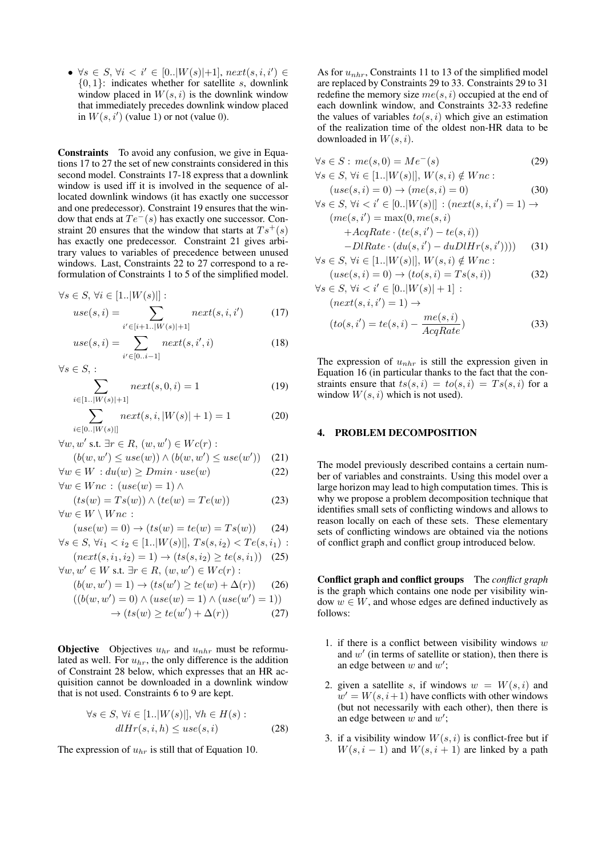•  $\forall s \in S, \forall i \leq i' \in [0..|W(s)|+1], next(s, i, i') \in$  ${0, 1}$ : indicates whether for satellite s, downlink window placed in  $W(s, i)$  is the downlink window that immediately precedes downlink window placed in  $W(s, i')$  (value 1) or not (value 0).

Constraints To avoid any confusion, we give in Equations 17 to 27 the set of new constraints considered in this second model. Constraints 17-18 express that a downlink window is used iff it is involved in the sequence of allocated downlink windows (it has exactly one successor and one predecessor). Constraint 19 ensures that the window that ends at  $Te^-(s)$  has exactly one successor. Constraint 20 ensures that the window that starts at  $Ts^+(s)$ has exactly one predecessor. Constraint 21 gives arbitrary values to variables of precedence between unused windows. Last, Constraints 22 to 27 correspond to a reformulation of Constraints 1 to 5 of the simplified model.

$$
\forall s \in S, \, \forall i \in [1..|W(s)|]:
$$

$$
use(s, i) = \sum_{i' \in [i+1..|W(s)|+1]} next(s, i, i') \tag{17}
$$

$$
use(s, i) = \sum_{i' \in [0..i-1]} next(s, i', i)
$$
\n(18)

 $\forall s \in S, :$ 

$$
\sum_{i \in [1..|W(s)|+1]} next(s,0,i) = 1 \tag{19}
$$

$$
\sum_{i \in [0..|W(s)|]} next(s, i, |W(s)| + 1) = 1
$$
\n(20)

 $\forall w, w' \text{ s.t. } \exists r \in R, (w, w') \in Wc(r)$ :

$$
(b(w, w') \leq use(w)) \land (b(w, w') \leq use(w')) \quad (21)
$$

$$
\forall w \in W : du(w) \geq Dmin \cdot use(w) \tag{22}
$$

 $\forall w \in W$ nc:  $(use(w) = 1) \land$  $(ts(w) = Ts(w)) \wedge (te(w) = Te(w))$  (23)

$$
(ts(w) - Is(w)) \wedge (te(w) - I e(w))
$$
  

$$
\forall w \in W \setminus Wnc:
$$

$$
(use(w) = 0) \rightarrow (ts(w) = te(w) = Ts(w))
$$
 (24)

$$
\forall s \in S, \, \forall i_1 < i_2 \in [1..|W(s)|], \, Ts(s, i_2) < Te(s, i_1) \, :
$$

$$
(next(s, i_1, i_2) = 1) \to (ts(s, i_2) \ge te(s, i_1)) \quad (25)
$$

 $\forall w, w' \in W$  s.t.  $\exists r \in R, (w, w') \in Wc(r)$ :

$$
(b(w, w') = 1) \rightarrow (ts(w') \ge te(w) + \Delta(r))
$$
 (26)  

$$
((b(w, w') = 0) \land (use(w) = 1) \land (use(w') = 1))
$$

$$
u(w, w') = 0) \land (use(w) = 1) \land (use(w') = 1))
$$

$$
\to (ts(w) \ge te(w') + \Delta(r)) \tag{27}
$$

**Objective** Objectives  $u_{hr}$  and  $u_{nhr}$  must be reformulated as well. For  $u_{hr}$ , the only difference is the addition of Constraint 28 below, which expresses that an HR acquisition cannot be downloaded in a downlink window that is not used. Constraints 6 to 9 are kept.

$$
\forall s \in S, \forall i \in [1..|W(s)|], \forall h \in H(s):dlHr(s, i, h) \leq use(s, i)
$$
 (28)

The expression of  $u_{hr}$  is still that of Equation 10.

As for  $u_{nhr}$ , Constraints 11 to 13 of the simplified model are replaced by Constraints 29 to 33. Constraints 29 to 31 redefine the memory size  $me(s, i)$  occupied at the end of each downlink window, and Constraints 32-33 redefine the values of variables  $to(s, i)$  which give an estimation of the realization time of the oldest non-HR data to be downloaded in  $W(s, i)$ .

$$
\forall s \in S : me(s, 0) = Me^{-}(s)
$$
  

$$
\forall s \in S, \forall i \in [1..|W(s)|], W(s, i) \notin Wnc:
$$
  

$$
(20)
$$

$$
(use(s, i) = 0) \rightarrow (me(s, i) = 0)
$$
\n
$$
\forall s \in S, \forall i < i' \in [0..|W(s)|] : (next(s, i, i') = 1) \rightarrow (me(s, i') = max(0, me(s, i) + AcqRate \cdot (te(s, i') - te(s, i)) - DIRate \cdot (du(s, i') - duDlHr(s, i')))) \tag{31}
$$

$$
\forall s \in S, \, \forall i \in [1..|W(s)|], \, W(s,i) \notin Wnc: (use(s,i) = 0) \to (to(s,i) = Ts(s,i))
$$
(32)

$$
\forall s \in S, \forall i < i' \in [0..|W(s)|+1]:(next(s, i, i') = 1) \rightarrow(to(s, i') = te(s, i) - \frac{me(s, i)}{AcqRate})
$$
(33)

The expression of  $u_{nhr}$  is still the expression given in Equation 16 (in particular thanks to the fact that the constraints ensure that  $ts(s, i) = to(s, i) = Ts(s, i)$  for a window  $W(s, i)$  which is not used).

## 4. PROBLEM DECOMPOSITION

The model previously described contains a certain number of variables and constraints. Using this model over a large horizon may lead to high computation times. This is why we propose a problem decomposition technique that identifies small sets of conflicting windows and allows to reason locally on each of these sets. These elementary sets of conflicting windows are obtained via the notions of conflict graph and conflict group introduced below.

Conflict graph and conflict groups The *conflict graph* is the graph which contains one node per visibility window  $w \in W$ , and whose edges are defined inductively as follows:

- 1. if there is a conflict between visibility windows  $w$ and  $w'$  (in terms of satellite or station), then there is an edge between  $w$  and  $w'$ ;
- 2. given a satellite s, if windows  $w = W(s, i)$  and  $w' = W(s, i + 1)$  have conflicts with other windows (but not necessarily with each other), then there is an edge between  $w$  and  $w'$ ;
- 3. if a visibility window  $W(s, i)$  is conflict-free but if  $W(s, i - 1)$  and  $W(s, i + 1)$  are linked by a path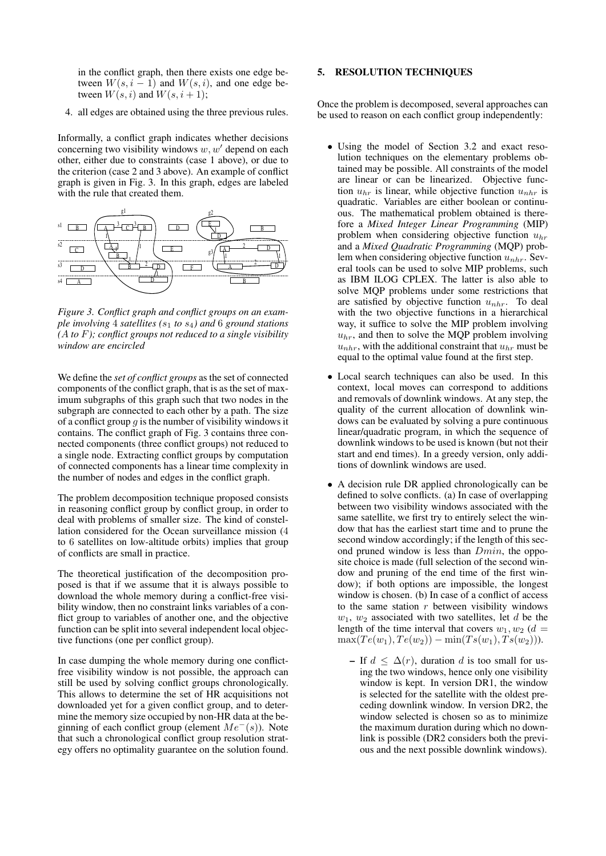in the conflict graph, then there exists one edge between  $W(s, i - 1)$  and  $W(s, i)$ , and one edge between  $W(s, i)$  and  $W(s, i + 1);$ 

4. all edges are obtained using the three previous rules.

Informally, a conflict graph indicates whether decisions concerning two visibility windows  $w, w'$  depend on each other, either due to constraints (case 1 above), or due to the criterion (case 2 and 3 above). An example of conflict graph is given in Fig. 3. In this graph, edges are labeled with the rule that created them.



*Figure 3. Conflict graph and conflict groups on an example involving* 4 *satellites (*s<sup>1</sup> *to* s4*) and* 6 *ground stations (*A *to* F*); conflict groups not reduced to a single visibility window are encircled*

We define the *set of conflict groups* as the set of connected components of the conflict graph, that is as the set of maximum subgraphs of this graph such that two nodes in the subgraph are connected to each other by a path. The size of a conflict group  $q$  is the number of visibility windows it contains. The conflict graph of Fig. 3 contains three connected components (three conflict groups) not reduced to a single node. Extracting conflict groups by computation of connected components has a linear time complexity in the number of nodes and edges in the conflict graph.

The problem decomposition technique proposed consists in reasoning conflict group by conflict group, in order to deal with problems of smaller size. The kind of constellation considered for the Ocean surveillance mission (4 to 6 satellites on low-altitude orbits) implies that group of conflicts are small in practice.

The theoretical justification of the decomposition proposed is that if we assume that it is always possible to download the whole memory during a conflict-free visibility window, then no constraint links variables of a conflict group to variables of another one, and the objective function can be split into several independent local objective functions (one per conflict group).

In case dumping the whole memory during one conflictfree visibility window is not possible, the approach can still be used by solving conflict groups chronologically. This allows to determine the set of HR acquisitions not downloaded yet for a given conflict group, and to determine the memory size occupied by non-HR data at the beginning of each conflict group (element  $Me<sup>-</sup>(s)$ ). Note that such a chronological conflict group resolution strategy offers no optimality guarantee on the solution found.

# 5. RESOLUTION TECHNIQUES

Once the problem is decomposed, several approaches can be used to reason on each conflict group independently:

- Using the model of Section 3.2 and exact resolution techniques on the elementary problems obtained may be possible. All constraints of the model are linear or can be linearized. Objective function  $u_{hr}$  is linear, while objective function  $u_{nhr}$  is quadratic. Variables are either boolean or continuous. The mathematical problem obtained is therefore a *Mixed Integer Linear Programming* (MIP) problem when considering objective function  $u_{hr}$ and a *Mixed Quadratic Programming* (MQP) problem when considering objective function  $u_{nhr}$ . Several tools can be used to solve MIP problems, such as IBM ILOG CPLEX. The latter is also able to solve MQP problems under some restrictions that are satisfied by objective function  $u_{nhr}$ . To deal with the two objective functions in a hierarchical way, it suffice to solve the MIP problem involving  $u<sub>hr</sub>$ , and then to solve the MQP problem involving  $u_{nhr}$ , with the additional constraint that  $u_{hr}$  must be equal to the optimal value found at the first step.
- Local search techniques can also be used. In this context, local moves can correspond to additions and removals of downlink windows. At any step, the quality of the current allocation of downlink windows can be evaluated by solving a pure continuous linear/quadratic program, in which the sequence of downlink windows to be used is known (but not their start and end times). In a greedy version, only additions of downlink windows are used.
- A decision rule DR applied chronologically can be defined to solve conflicts. (a) In case of overlapping between two visibility windows associated with the same satellite, we first try to entirely select the window that has the earliest start time and to prune the second window accordingly; if the length of this second pruned window is less than  $Dmin$ , the opposite choice is made (full selection of the second window and pruning of the end time of the first window); if both options are impossible, the longest window is chosen. (b) In case of a conflict of access to the same station  $r$  between visibility windows  $w_1$ ,  $w_2$  associated with two satellites, let d be the length of the time interval that covers  $w_1, w_2$  ( $d =$  $\max(T e(w_1), T e(w_2)) - \min(T s(w_1), T s(w_2))).$ 
	- If  $d \leq \Delta(r)$ , duration d is too small for using the two windows, hence only one visibility window is kept. In version DR1, the window is selected for the satellite with the oldest preceding downlink window. In version DR2, the window selected is chosen so as to minimize the maximum duration during which no downlink is possible (DR2 considers both the previous and the next possible downlink windows).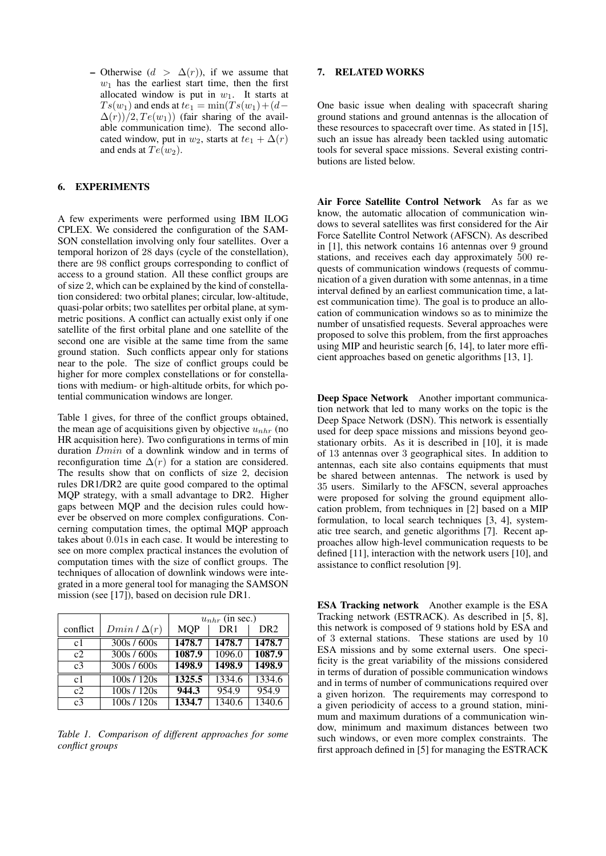– Otherwise  $(d > \Delta(r))$ , if we assume that  $w_1$  has the earliest start time, then the first allocated window is put in  $w_1$ . It starts at  $Ts(w_1)$  and ends at  $te_1 = \min(Ts(w_1) + (d \Delta(r)/2$ ,  $Te(w_1)$ ) (fair sharing of the available communication time). The second allocated window, put in  $w_2$ , starts at  $te_1 + \Delta(r)$ and ends at  $Te(w_2)$ .

# 6. EXPERIMENTS

A few experiments were performed using IBM ILOG CPLEX. We considered the configuration of the SAM-SON constellation involving only four satellites. Over a temporal horizon of 28 days (cycle of the constellation), there are 98 conflict groups corresponding to conflict of access to a ground station. All these conflict groups are of size 2, which can be explained by the kind of constellation considered: two orbital planes; circular, low-altitude, quasi-polar orbits; two satellites per orbital plane, at symmetric positions. A conflict can actually exist only if one satellite of the first orbital plane and one satellite of the second one are visible at the same time from the same ground station. Such conflicts appear only for stations near to the pole. The size of conflict groups could be higher for more complex constellations or for constellations with medium- or high-altitude orbits, for which potential communication windows are longer.

Table 1 gives, for three of the conflict groups obtained, the mean age of acquisitions given by objective  $u_{nhr}$  (no HR acquisition here). Two configurations in terms of min duration Dmin of a downlink window and in terms of reconfiguration time  $\Delta(r)$  for a station are considered. The results show that on conflicts of size 2, decision rules DR1/DR2 are quite good compared to the optimal MQP strategy, with a small advantage to DR2. Higher gaps between MQP and the decision rules could however be observed on more complex configurations. Concerning computation times, the optimal MQP approach takes about 0.01s in each case. It would be interesting to see on more complex practical instances the evolution of computation times with the size of conflict groups. The techniques of allocation of downlink windows were integrated in a more general tool for managing the SAMSON mission (see [17]), based on decision rule DR1.

|                |                    | $u_{nhr}$ (in sec.) |                 |                 |
|----------------|--------------------|---------------------|-----------------|-----------------|
| conflict       | $Dmin / \Delta(r)$ | <b>MQP</b>          | DR <sub>1</sub> | DR <sub>2</sub> |
| c1             | 300s / 600s        | 1478.7              | 1478.7          | 1478.7          |
| c2             | 300s / 600s        | 1087.9              | 1096.0          | 1087.9          |
| c <sub>3</sub> | 300s / 600s        | 1498.9              | 1498.9          | 1498.9          |
| c <sub>1</sub> | 100s / 120s        | 1325.5              | 1334.6          | 1334.6          |
| c2             | 100s / 120s        | 944.3               | 954.9           | 954.9           |
| c <sub>3</sub> | 100s / 120s        | 1334.7              | 1340.6          | 1340.6          |

*Table 1. Comparison of different approaches for some conflict groups*

# 7. RELATED WORKS

One basic issue when dealing with spacecraft sharing ground stations and ground antennas is the allocation of these resources to spacecraft over time. As stated in [15], such an issue has already been tackled using automatic tools for several space missions. Several existing contributions are listed below.

Air Force Satellite Control Network As far as we know, the automatic allocation of communication windows to several satellites was first considered for the Air Force Satellite Control Network (AFSCN). As described in [1], this network contains 16 antennas over 9 ground stations, and receives each day approximately 500 requests of communication windows (requests of communication of a given duration with some antennas, in a time interval defined by an earliest communication time, a latest communication time). The goal is to produce an allocation of communication windows so as to minimize the number of unsatisfied requests. Several approaches were proposed to solve this problem, from the first approaches using MIP and heuristic search [6, 14], to later more efficient approaches based on genetic algorithms [13, 1].

Deep Space Network Another important communication network that led to many works on the topic is the Deep Space Network (DSN). This network is essentially used for deep space missions and missions beyond geostationary orbits. As it is described in [10], it is made of 13 antennas over 3 geographical sites. In addition to antennas, each site also contains equipments that must be shared between antennas. The network is used by 35 users. Similarly to the AFSCN, several approaches were proposed for solving the ground equipment allocation problem, from techniques in [2] based on a MIP formulation, to local search techniques [3, 4], systematic tree search, and genetic algorithms [7]. Recent approaches allow high-level communication requests to be defined [11], interaction with the network users [10], and assistance to conflict resolution [9].

ESA Tracking network Another example is the ESA Tracking network (ESTRACK). As described in [5, 8], this network is composed of 9 stations hold by ESA and of 3 external stations. These stations are used by 10 ESA missions and by some external users. One specificity is the great variability of the missions considered in terms of duration of possible communication windows and in terms of number of communications required over a given horizon. The requirements may correspond to a given periodicity of access to a ground station, minimum and maximum durations of a communication window, minimum and maximum distances between two such windows, or even more complex constraints. The first approach defined in [5] for managing the ESTRACK